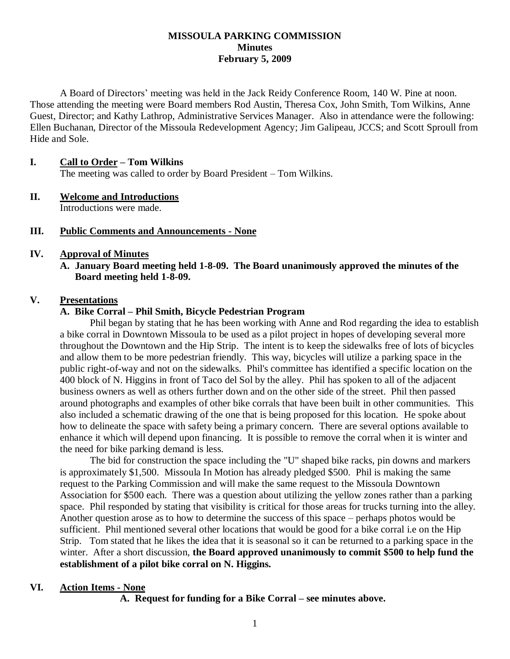#### **MISSOULA PARKING COMMISSION Minutes February 5, 2009**

A Board of Directors' meeting was held in the Jack Reidy Conference Room, 140 W. Pine at noon. Those attending the meeting were Board members Rod Austin, Theresa Cox, John Smith, Tom Wilkins, Anne Guest, Director; and Kathy Lathrop, Administrative Services Manager. Also in attendance were the following: Ellen Buchanan, Director of the Missoula Redevelopment Agency; Jim Galipeau, JCCS; and Scott Sproull from Hide and Sole.

#### **I. Call to Order – Tom Wilkins**

The meeting was called to order by Board President – Tom Wilkins.

#### **II. Welcome and Introductions** Introductions were made.

#### **III. Public Comments and Announcements - None**

## **IV. Approval of Minutes**

**A. January Board meeting held 1-8-09. The Board unanimously approved the minutes of the Board meeting held 1-8-09.**

## **V. Presentations**

#### **A. Bike Corral – Phil Smith, Bicycle Pedestrian Program**

Phil began by stating that he has been working with Anne and Rod regarding the idea to establish a bike corral in Downtown Missoula to be used as a pilot project in hopes of developing several more throughout the Downtown and the Hip Strip. The intent is to keep the sidewalks free of lots of bicycles and allow them to be more pedestrian friendly. This way, bicycles will utilize a parking space in the public right-of-way and not on the sidewalks. Phil's committee has identified a specific location on the 400 block of N. Higgins in front of Taco del Sol by the alley. Phil has spoken to all of the adjacent business owners as well as others further down and on the other side of the street. Phil then passed around photographs and examples of other bike corrals that have been built in other communities. This also included a schematic drawing of the one that is being proposed for this location. He spoke about how to delineate the space with safety being a primary concern. There are several options available to enhance it which will depend upon financing. It is possible to remove the corral when it is winter and the need for bike parking demand is less.

The bid for construction the space including the "U" shaped bike racks, pin downs and markers is approximately \$1,500. Missoula In Motion has already pledged \$500. Phil is making the same request to the Parking Commission and will make the same request to the Missoula Downtown Association for \$500 each. There was a question about utilizing the yellow zones rather than a parking space. Phil responded by stating that visibility is critical for those areas for trucks turning into the alley. Another question arose as to how to determine the success of this space – perhaps photos would be sufficient. Phil mentioned several other locations that would be good for a bike corral i.e on the Hip Strip. Tom stated that he likes the idea that it is seasonal so it can be returned to a parking space in the winter. After a short discussion, **the Board approved unanimously to commit \$500 to help fund the establishment of a pilot bike corral on N. Higgins.**

#### **VI. Action Items - None**

**A. Request for funding for a Bike Corral – see minutes above.**